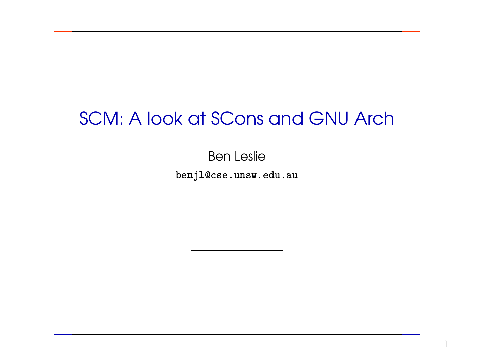# SCM: A look at SCons and GNU Arch

Ben Leslie  $\frac{1}{2}$ ֧֖֦֧֦ׅ֚֚֚֝֝֝֬֓֝֬֝<br>֧֖֖֖֧ׅ֖֧֧֦֖֖ׅ֖֧֪ׅ֖֧֪֪ׅ֖֧֦֖֧֪֪֪֪ׅ֦֖֚֚֚֚֚֚֚֚֚֚֚֚֚֚֚֚֚֚֚֚֚֚֚֚֚֚֚֚֝֝֝֟֓֝֟֓֝֬֝֝֝֬֞֝֟  $\ddot{\phantom{0}}$  $\frac{1}{2}$   $\frac{1}{2}$  $\ddot{\phantom{0}}$  $\frac{1}{2}$ 

  $\overline{a}$  $\overline{a}$  $\overline{a}$   $\ddot{\phantom{0}}$  $\ddot{\phantom{a}}$  benjl@cse.unsw.edu.au --I

1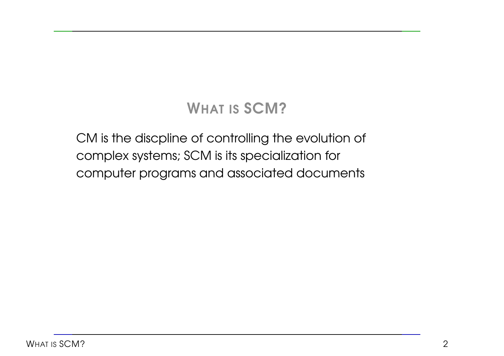CM is the discpline of controlling the evolution of complex systems; SCM is its specialization for computer programs and associated documents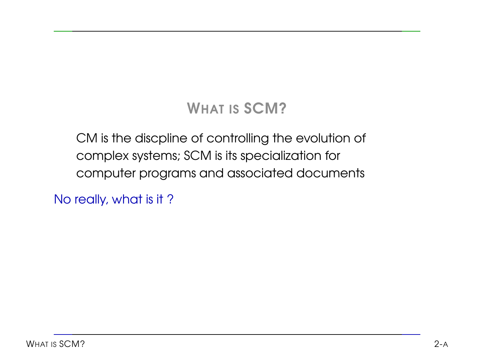CM is the discpline of controlling the evolution of complex systems; SCM is its specialization for computer programs and associated documents

No really, what is it ?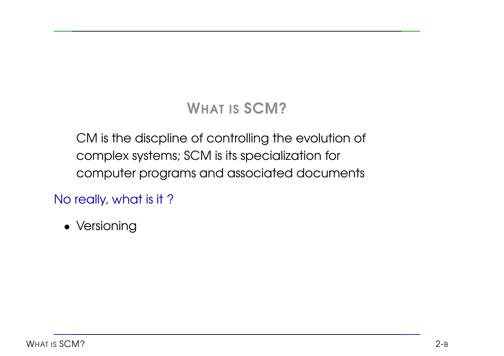CM is the discpline of controlling the evolution of complex systems; SCM is its specialization for computer programs and associated documents

No really, what is it ?

• Versioning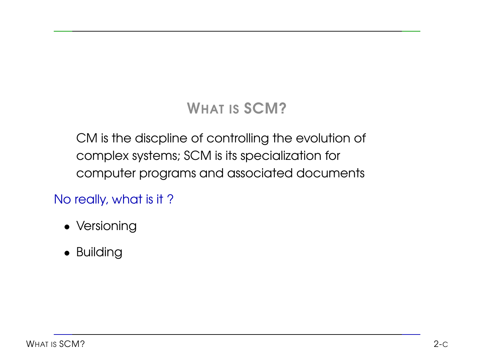CM is the discpline of controlling the evolution of complex systems; SCM is its specialization for computer programs and associated documents

#### No really, what is it ?

- Versioning
- Building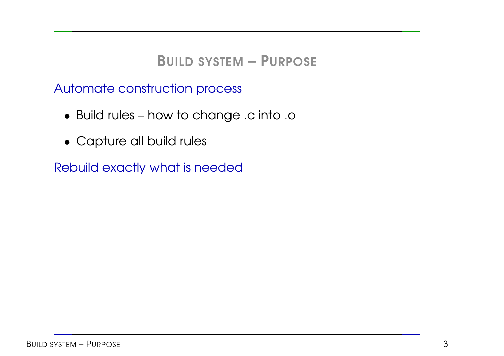Automate construction process

- Build rules how to change .c into .o
- Capture all build rules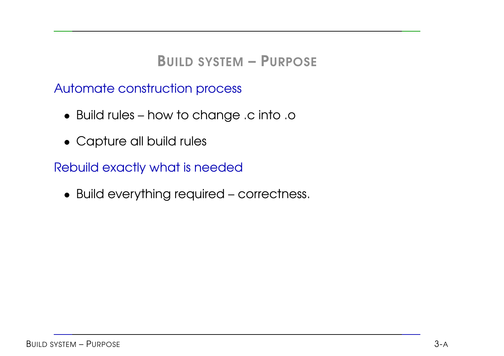Automate construction process

- Build rules how to change .c into .o
- Capture all build rules

Rebuild exactly what is needed

• Build everything required – correctness.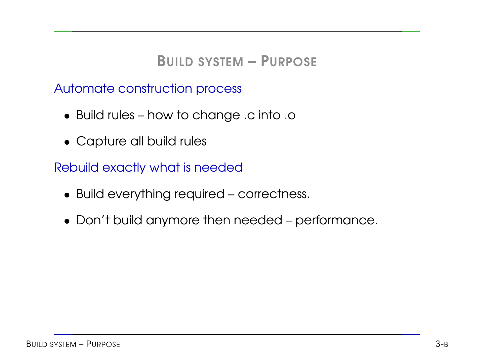Automate construction process

- Build rules how to change .c into .o
- Capture all build rules

- Build everything required correctness.
- Don't build anymore then needed performance.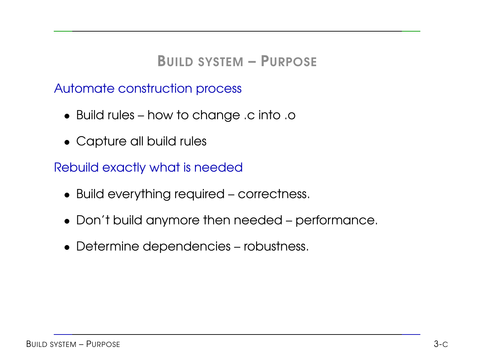Automate construction process

- Build rules how to change .c into .o
- Capture all build rules

- Build everything required correctness.
- Don't build anymore then needed performance.
- Determine dependencies robustness.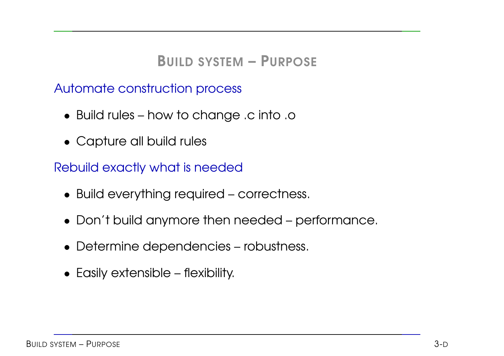Automate construction process

- Build rules how to change .c into .o
- Capture all build rules

- Build everything required correctness.
- Don't build anymore then needed performance.
- Determine dependencies robustness.
- Easily extensible flexibility.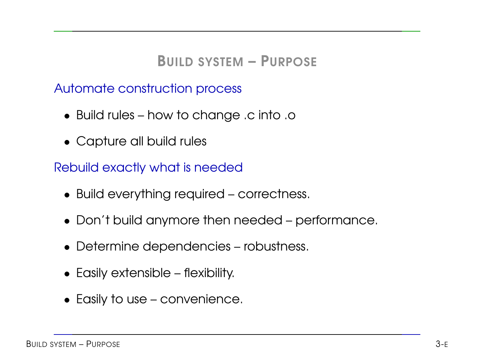Automate construction process

- Build rules how to change .c into .o
- Capture all build rules

- Build everything required correctness.
- Don't build anymore then needed performance.
- Determine dependencies robustness.
- Easily extensible flexibility.
- Easily to use convenience.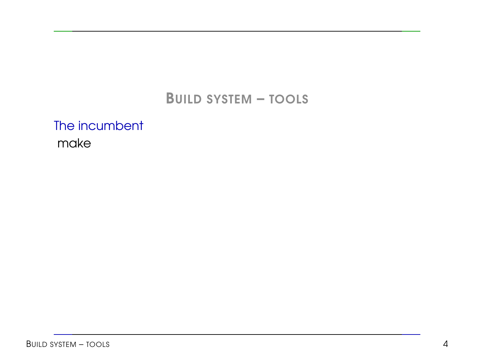The incumbent make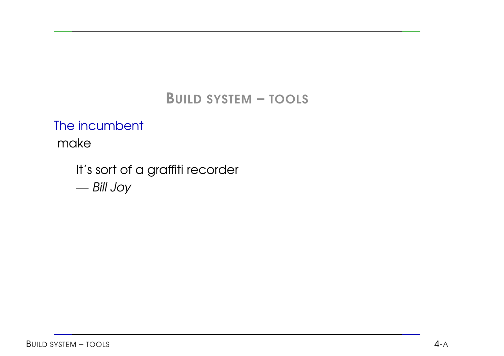The incumbent

make

It's sort of <sup>a</sup> graffiti recorder — Bill Joy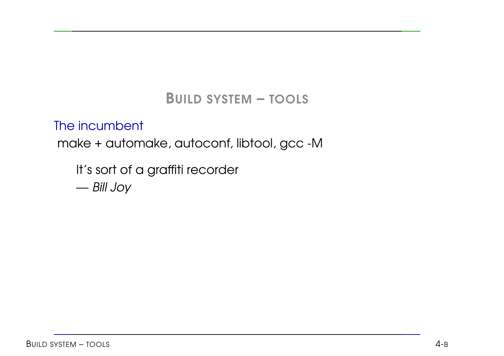#### The incumbent

make <sup>+</sup> automake, autoconf, libtool, gcc -M

It's sort of <sup>a</sup> graffiti recorder

— Bill Joy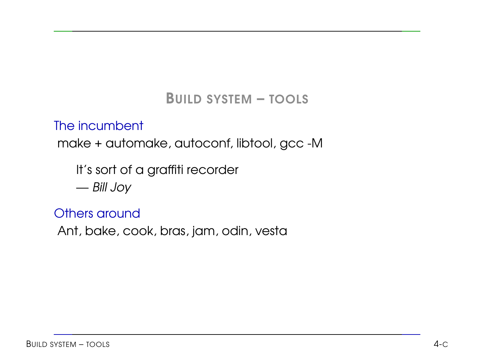#### The incumbent

make <sup>+</sup> automake, autoconf, libtool, gcc -M

It's sort of <sup>a</sup> graffiti recorder

— Bill Joy

#### Others around

Ant, bake, cook, bras, jam, odin, vesta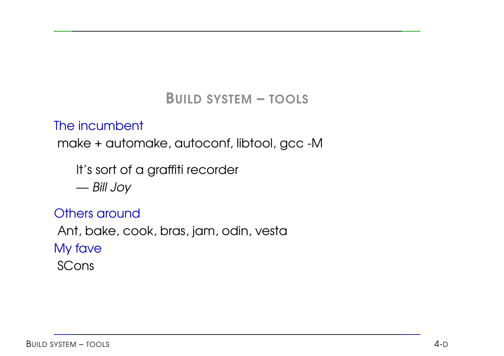#### The incumbent

make <sup>+</sup> automake, autoconf, libtool, gcc -M

It's sort of <sup>a</sup> graffiti recorder

— Bill Joy

#### Others around

Ant, bake, cook, bras, jam, odin, vesta

My fave

SCons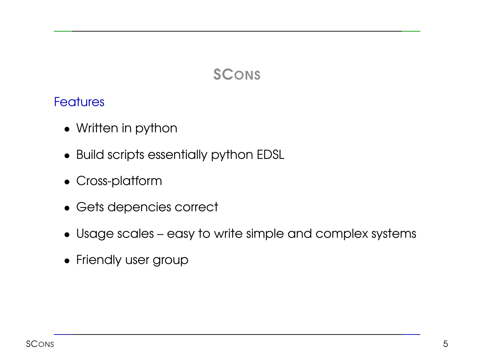# **SCONS**

#### **Features**

- Written in python
- Build scripts essentially python EDSL
- Cross-platform
- Gets depencies correct
- Usage scales easy to write simple and complex systems
- Friendly user group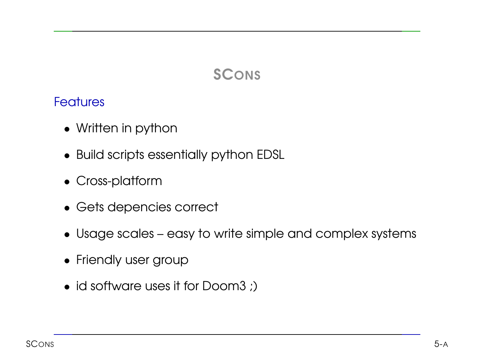# **SCONS**

#### **Features**

- Written in python
- Build scripts essentially python EDSL
- Cross-platform
- Gets depencies correct
- Usage scales easy to write simple and complex systems
- Friendly user group
- id software uses it for Doom3 ;)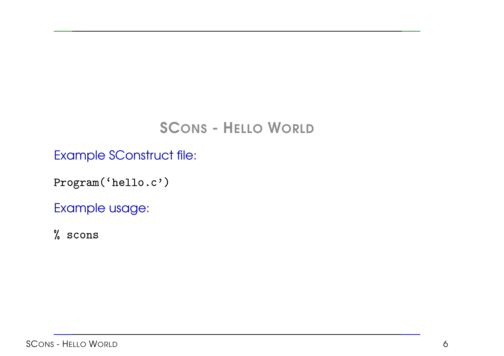# SCONS - HELLO WORLD

Example SConstruct file: trud<br>.c'

Program('he ֦ -

Example usage:  $\frac{1}{n}$ 

% scons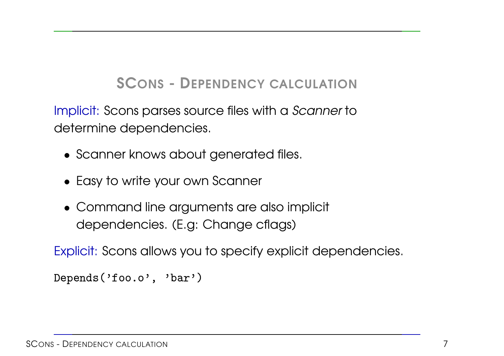## SCONS - DEPENDENCY CALCULATION

Implicit: Scons parses source files with <sup>a</sup> Scanner to determine dependencies.

- Scanner knows about generated files.
- Easy to write your own Scanner
- Command line arguments are also implicit dependencies. (E.g: Change cflags)

Explicit: Scons allows you to specify explicit dependencies. 

```
Depends('foo.
             -
```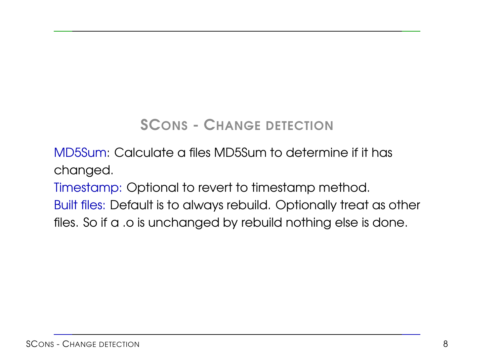# SCONS - CHANGE DETECTION

MD5Sum: Calculate a files MD5Sum to determine if it has changed.

Timestamp: Optional to revert to timestamp method.

Built files: Default is to always rebuild. Optionally treat as other files. So if <sup>a</sup> .o is unchanged by rebuild nothing else is done.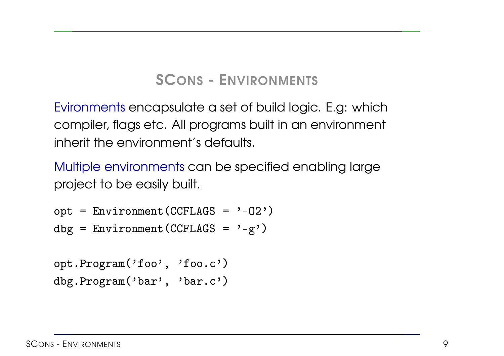# SCONS - ENVIRONMENTS

Evironments encapsulate <sup>a</sup> set of build logic. E.g: which compiler, flags etc. All programs built in an environment inherit the environment's defaults.

Multiple environments can be specified enabling large<br>project to be easily built.<br>opt = Environment(CCFLAGS = '-02') project to be easily built.

```
-
  pt = Environment(CCFLAG
-
  pt = Environment(CCFLAGS = '-02<br>pt = Environment(CCFLAGS = '-02<br>bg = Environment(CCFLAGS = '-g'
```

```
-
 pt.Program('foo', 'f
                           -
                                        -
-
 pt.Program('foo', 'foo.c'<br>bg.Program('bar', 'bar.c'
```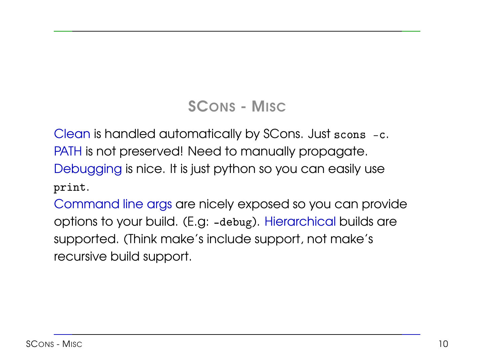# SCONS - MISC

Clean is handled automatically by SCons. Just scons -c. PATH is not preserved! Need to manually propagate. Debugging is nice. It is just python so you can easily use print.

Command line args are nicely exposed so you can provide options to your build. (E.g: -debug). Hierarchical builds are supported. (Think make's include support, not make's recursive build support.